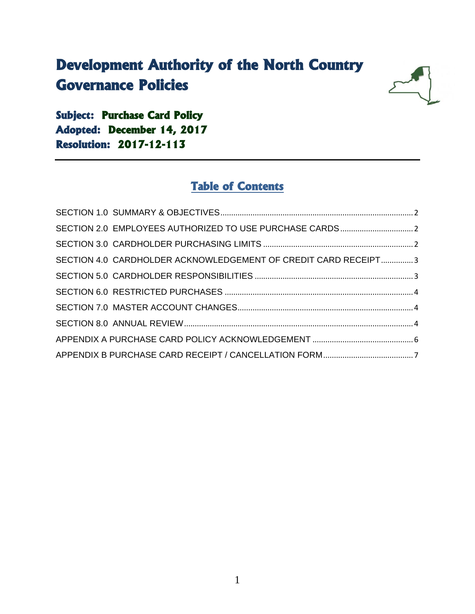# **Development Authority of the North Country Governance Policies**



**Subject: Purchase Card Policy Adopted: December 14, 2017 Resolution: 2017-12-113** 

# **Table of Contents**

| SECTION 4.0 CARDHOLDER ACKNOWLEDGEMENT OF CREDIT CARD RECEIPT3 |  |
|----------------------------------------------------------------|--|
|                                                                |  |
|                                                                |  |
|                                                                |  |
|                                                                |  |
|                                                                |  |
|                                                                |  |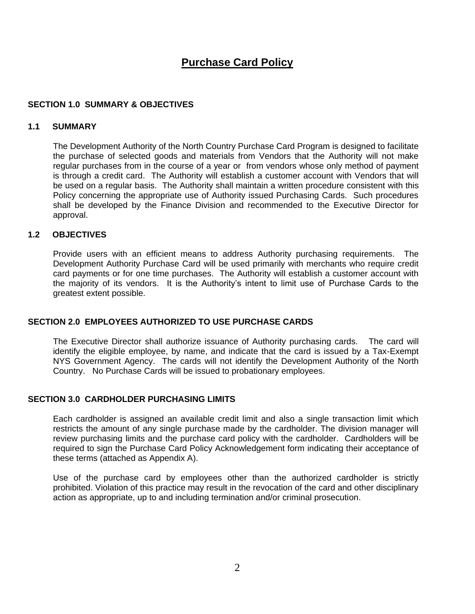## **Purchase Card Policy**

#### <span id="page-1-0"></span>**SECTION 1.0 SUMMARY & OBJECTIVES**

#### **1.1 SUMMARY**

The Development Authority of the North Country Purchase Card Program is designed to facilitate the purchase of selected goods and materials from Vendors that the Authority will not make regular purchases from in the course of a year or from vendors whose only method of payment is through a credit card. The Authority will establish a customer account with Vendors that will be used on a regular basis. The Authority shall maintain a written procedure consistent with this Policy concerning the appropriate use of Authority issued Purchasing Cards. Such procedures shall be developed by the Finance Division and recommended to the Executive Director for approval.

#### **1.2 OBJECTIVES**

Provide users with an efficient means to address Authority purchasing requirements. The Development Authority Purchase Card will be used primarily with merchants who require credit card payments or for one time purchases. The Authority will establish a customer account with the majority of its vendors. It is the Authority's intent to limit use of Purchase Cards to the greatest extent possible.

#### <span id="page-1-1"></span>**SECTION 2.0 EMPLOYEES AUTHORIZED TO USE PURCHASE CARDS**

The Executive Director shall authorize issuance of Authority purchasing cards. The card will identify the eligible employee, by name, and indicate that the card is issued by a Tax-Exempt NYS Government Agency. The cards will not identify the Development Authority of the North Country. No Purchase Cards will be issued to probationary employees.

#### <span id="page-1-2"></span>**SECTION 3.0 CARDHOLDER PURCHASING LIMITS**

Each cardholder is assigned an available credit limit and also a single transaction limit which restricts the amount of any single purchase made by the cardholder. The division manager will review purchasing limits and the purchase card policy with the cardholder. Cardholders will be required to sign the Purchase Card Policy Acknowledgement form indicating their acceptance of these terms (attached as Appendix A).

Use of the purchase card by employees other than the authorized cardholder is strictly prohibited. Violation of this practice may result in the revocation of the card and other disciplinary action as appropriate, up to and including termination and/or criminal prosecution.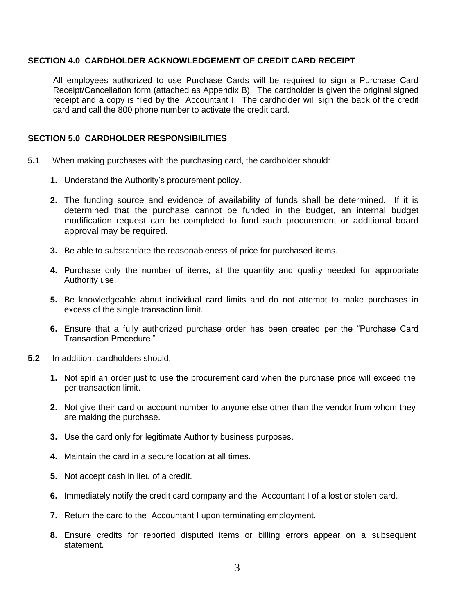#### <span id="page-2-0"></span>**SECTION 4.0 CARDHOLDER ACKNOWLEDGEMENT OF CREDIT CARD RECEIPT**

All employees authorized to use Purchase Cards will be required to sign a Purchase Card Receipt/Cancellation form (attached as Appendix B). The cardholder is given the original signed receipt and a copy is filed by the Accountant I. The cardholder will sign the back of the credit card and call the 800 phone number to activate the credit card.

#### <span id="page-2-1"></span>**SECTION 5.0 CARDHOLDER RESPONSIBILITIES**

- **5.1** When making purchases with the purchasing card, the cardholder should:
	- **1.** Understand the Authority's procurement policy.
	- **2.** The funding source and evidence of availability of funds shall be determined. If it is determined that the purchase cannot be funded in the budget, an internal budget modification request can be completed to fund such procurement or additional board approval may be required.
	- **3.** Be able to substantiate the reasonableness of price for purchased items.
	- **4.** Purchase only the number of items, at the quantity and quality needed for appropriate Authority use.
	- **5.** Be knowledgeable about individual card limits and do not attempt to make purchases in excess of the single transaction limit.
	- **6.** Ensure that a fully authorized purchase order has been created per the "Purchase Card Transaction Procedure."
- **5.2** In addition, cardholders should:
	- **1.** Not split an order just to use the procurement card when the purchase price will exceed the per transaction limit.
	- **2.** Not give their card or account number to anyone else other than the vendor from whom they are making the purchase.
	- **3.** Use the card only for legitimate Authority business purposes.
	- **4.** Maintain the card in a secure location at all times.
	- **5.** Not accept cash in lieu of a credit.
	- **6.** Immediately notify the credit card company and the Accountant I of a lost or stolen card.
	- **7.** Return the card to the Accountant I upon terminating employment.
	- **8.** Ensure credits for reported disputed items or billing errors appear on a subsequent statement.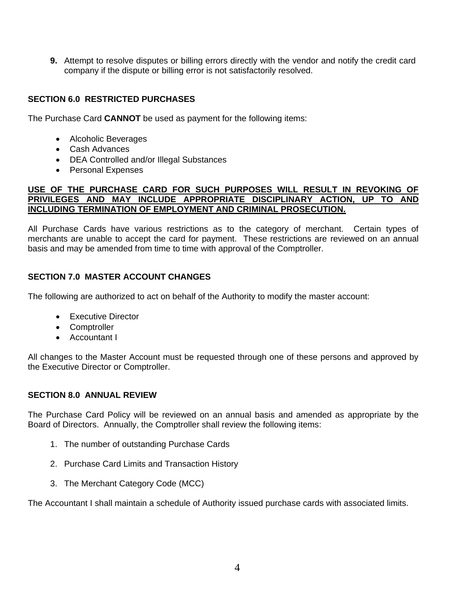**9.** Attempt to resolve disputes or billing errors directly with the vendor and notify the credit card company if the dispute or billing error is not satisfactorily resolved.

#### <span id="page-3-0"></span>**SECTION 6.0 RESTRICTED PURCHASES**

The Purchase Card **CANNOT** be used as payment for the following items:

- Alcoholic Beverages
- Cash Advances
- DEA Controlled and/or Illegal Substances
- Personal Expenses

#### **USE OF THE PURCHASE CARD FOR SUCH PURPOSES WILL RESULT IN REVOKING OF PRIVILEGES AND MAY INCLUDE APPROPRIATE DISCIPLINARY ACTION, UP TO AND INCLUDING TERMINATION OF EMPLOYMENT AND CRIMINAL PROSECUTION.**

All Purchase Cards have various restrictions as to the category of merchant. Certain types of merchants are unable to accept the card for payment. These restrictions are reviewed on an annual basis and may be amended from time to time with approval of the Comptroller.

#### <span id="page-3-1"></span>**SECTION 7.0 MASTER ACCOUNT CHANGES**

The following are authorized to act on behalf of the Authority to modify the master account:

- Executive Director
- Comptroller
- Accountant I

All changes to the Master Account must be requested through one of these persons and approved by the Executive Director or Comptroller.

#### <span id="page-3-2"></span>**SECTION 8.0 ANNUAL REVIEW**

The Purchase Card Policy will be reviewed on an annual basis and amended as appropriate by the Board of Directors. Annually, the Comptroller shall review the following items:

- 1. The number of outstanding Purchase Cards
- 2. Purchase Card Limits and Transaction History
- 3. The Merchant Category Code (MCC)

The Accountant I shall maintain a schedule of Authority issued purchase cards with associated limits.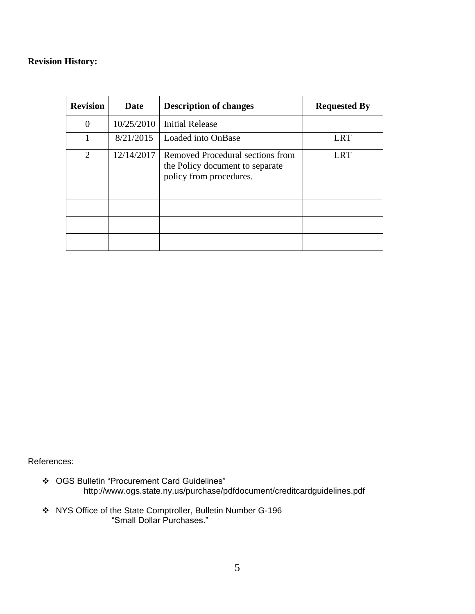### **Revision History:**

| <b>Revision</b> | <b>Date</b> | <b>Description of changes</b>                                                                  | <b>Requested By</b> |
|-----------------|-------------|------------------------------------------------------------------------------------------------|---------------------|
| $\theta$        | 10/25/2010  | <b>Initial Release</b>                                                                         |                     |
|                 | 8/21/2015   | Loaded into OnBase                                                                             | <b>LRT</b>          |
| $\overline{2}$  | 12/14/2017  | Removed Procedural sections from<br>the Policy document to separate<br>policy from procedures. | <b>LRT</b>          |
|                 |             |                                                                                                |                     |
|                 |             |                                                                                                |                     |
|                 |             |                                                                                                |                     |
|                 |             |                                                                                                |                     |

References:

- OGS Bulletin "Procurement Card Guidelines" http://www.ogs.state.ny.us/purchase/pdfdocument/creditcardguidelines.pdf
- \* NYS Office of the State Comptroller, Bulletin Number G-196 "Small Dollar Purchases."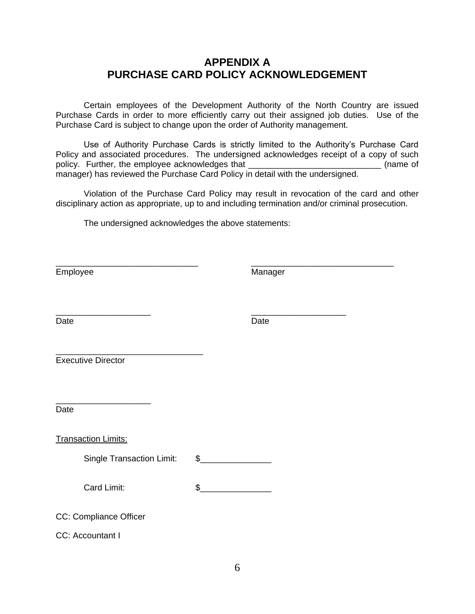### **APPENDIX A PURCHASE CARD POLICY ACKNOWLEDGEMENT**

<span id="page-5-0"></span>Certain employees of the Development Authority of the North Country are issued Purchase Cards in order to more efficiently carry out their assigned job duties. Use of the Purchase Card is subject to change upon the order of Authority management.

Use of Authority Purchase Cards is strictly limited to the Authority's Purchase Card Policy and associated procedures. The undersigned acknowledges receipt of a copy of such policy. Further, the employee acknowledges that \_\_\_\_\_\_\_\_\_\_\_\_\_\_\_\_\_\_\_\_\_\_\_\_\_\_\_\_\_\_\_\_(name of manager) has reviewed the Purchase Card Policy in detail with the undersigned.

Violation of the Purchase Card Policy may result in revocation of the card and other disciplinary action as appropriate, up to and including termination and/or criminal prosecution.

The undersigned acknowledges the above statements:

| Employee                         |               | Manager |  |  |  |
|----------------------------------|---------------|---------|--|--|--|
|                                  |               |         |  |  |  |
|                                  |               |         |  |  |  |
| Date                             |               | Date    |  |  |  |
|                                  |               |         |  |  |  |
| <b>Executive Director</b>        |               |         |  |  |  |
|                                  |               |         |  |  |  |
|                                  |               |         |  |  |  |
| Date                             |               |         |  |  |  |
|                                  |               |         |  |  |  |
| <b>Transaction Limits:</b>       |               |         |  |  |  |
| <b>Single Transaction Limit:</b> | $\frac{1}{2}$ |         |  |  |  |
|                                  |               |         |  |  |  |
| Card Limit:                      | \$            |         |  |  |  |
| CC: Compliance Officer           |               |         |  |  |  |
| CC: Accountant I                 |               |         |  |  |  |
|                                  |               |         |  |  |  |